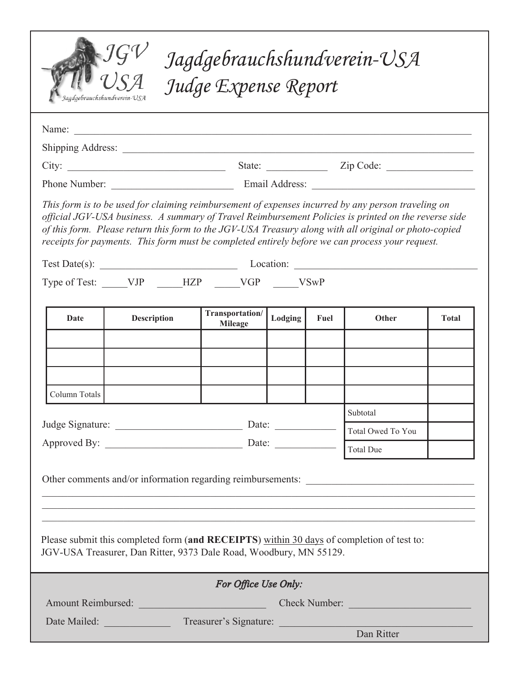| Jagdgebrauchshundverein-USA<br>Judge Expense Report<br>agdgebrauchshundverein-USA                                                                                                                                                                                                                                                                                                                                                                           |                    |                                                                                 |         |          |                   |              |
|-------------------------------------------------------------------------------------------------------------------------------------------------------------------------------------------------------------------------------------------------------------------------------------------------------------------------------------------------------------------------------------------------------------------------------------------------------------|--------------------|---------------------------------------------------------------------------------|---------|----------|-------------------|--------------|
|                                                                                                                                                                                                                                                                                                                                                                                                                                                             | Name:              |                                                                                 |         |          |                   |              |
|                                                                                                                                                                                                                                                                                                                                                                                                                                                             |                    |                                                                                 |         |          |                   |              |
|                                                                                                                                                                                                                                                                                                                                                                                                                                                             |                    |                                                                                 |         |          |                   |              |
|                                                                                                                                                                                                                                                                                                                                                                                                                                                             |                    | Phone Number: <u>Contract Communication</u> Email Address: <u>Communication</u> |         |          |                   |              |
| This form is to be used for claiming reimbursement of expenses incurred by any person traveling on<br>official JGV-USA business. A summary of Travel Reimbursement Policies is printed on the reverse side<br>of this form. Please return this form to the JGV-USA Treasury along with all original or photo-copied<br>receipts for payments. This form must be completed entirely before we can process your request.<br>Test Date(s): Location: Location: |                    |                                                                                 |         |          |                   |              |
|                                                                                                                                                                                                                                                                                                                                                                                                                                                             |                    |                                                                                 |         |          |                   |              |
| Type of Test: _____VJP _____HZP _____VGP _____VSwP                                                                                                                                                                                                                                                                                                                                                                                                          |                    |                                                                                 |         |          |                   |              |
| Date                                                                                                                                                                                                                                                                                                                                                                                                                                                        | <b>Description</b> | Transportation/<br><b>Mileage</b>                                               | Lodging | Fuel     | Other             | <b>Total</b> |
| Column Totals                                                                                                                                                                                                                                                                                                                                                                                                                                               |                    |                                                                                 |         |          |                   |              |
|                                                                                                                                                                                                                                                                                                                                                                                                                                                             |                    |                                                                                 |         | Subtotal |                   |              |
|                                                                                                                                                                                                                                                                                                                                                                                                                                                             |                    |                                                                                 |         |          | Total Owed To You |              |
|                                                                                                                                                                                                                                                                                                                                                                                                                                                             |                    | Approved By: <u>Date:</u> Date: Total Due                                       |         |          |                   |              |
| Please submit this completed form (and RECEIPTS) within 30 days of completion of test to:<br>JGV-USA Treasurer, Dan Ritter, 9373 Dale Road, Woodbury, MN 55129.                                                                                                                                                                                                                                                                                             |                    |                                                                                 |         |          |                   |              |
| For Office Use Only:                                                                                                                                                                                                                                                                                                                                                                                                                                        |                    |                                                                                 |         |          |                   |              |
|                                                                                                                                                                                                                                                                                                                                                                                                                                                             |                    |                                                                                 |         |          |                   |              |
| Date Mailed: Treasurer's Signature: New York 2014<br>Dan Ritter                                                                                                                                                                                                                                                                                                                                                                                             |                    |                                                                                 |         |          |                   |              |